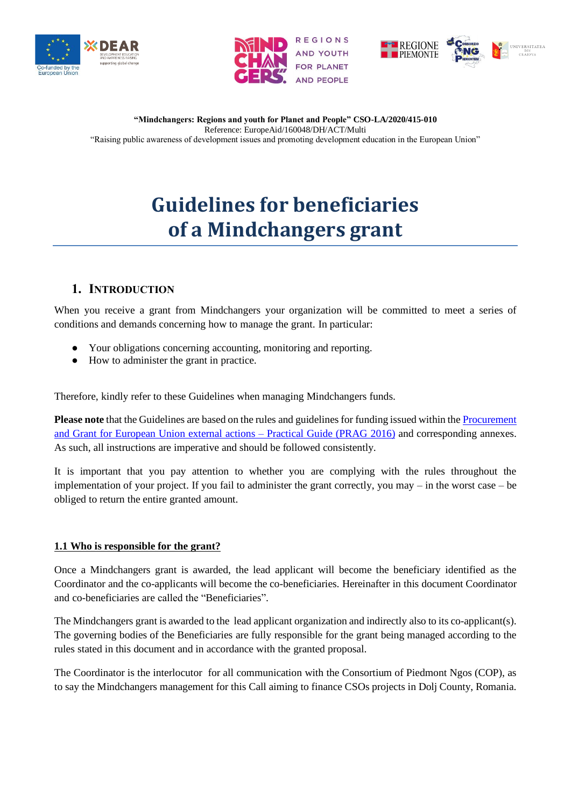





# **Guidelines for beneficiaries of a Mindchangers grant**

# **1. INTRODUCTION**

When you receive a grant from Mindchangers your organization will be committed to meet a series of conditions and demands concerning how to manage the grant. In particular:

- Your obligations concerning accounting, monitoring and reporting.
- How to administer the grant in practice.

Therefore, kindly refer to these Guidelines when managing Mindchangers funds.

**Please note** that the Guidelines are based on the rules and guidelines for funding issued within th[e Procurement](https://wikis.ec.europa.eu/display/ExactExternalWiki/ePRAG)  [and Grant for European Union external actions –](https://wikis.ec.europa.eu/display/ExactExternalWiki/ePRAG) Practical Guide (PRAG 2016) and corresponding annexes. As such, all instructions are imperative and should be followed consistently.

It is important that you pay attention to whether you are complying with the rules throughout the implementation of your project. If you fail to administer the grant correctly, you may – in the worst case – be obliged to return the entire granted amount.

# **1.1 Who is responsible for the grant?**

Once a Mindchangers grant is awarded, the lead applicant will become the beneficiary identified as the Coordinator and the co-applicants will become the co-beneficiaries. Hereinafter in this document Coordinator and co-beneficiaries are called the "Beneficiaries".

The Mindchangers grant is awarded to the lead applicant organization and indirectly also to its co-applicant(s). The governing bodies of the Beneficiaries are fully responsible for the grant being managed according to the rules stated in this document and in accordance with the granted proposal.

The Coordinator is the interlocutor for all communication with the Consortium of Piedmont Ngos (COP), as to say the Mindchangers management for this Call aiming to finance CSOs projects in Dolj County, Romania.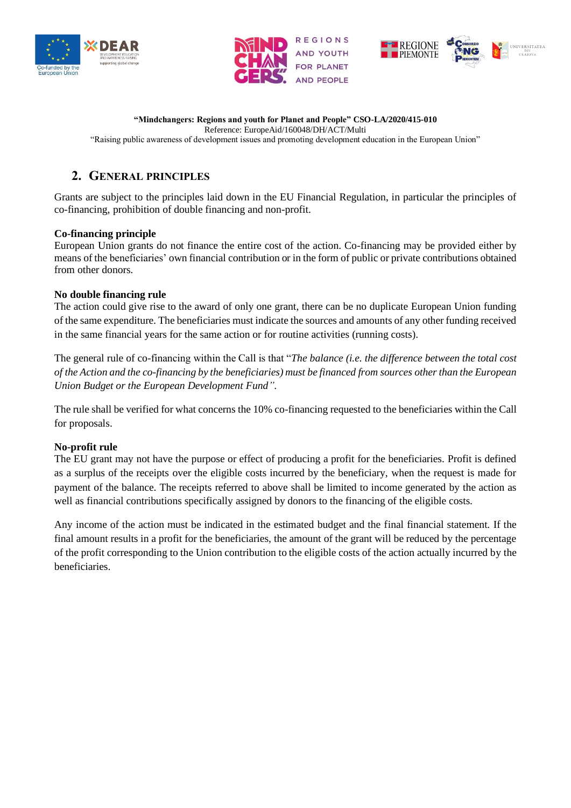





"Raising public awareness of development issues and promoting development education in the European Union"

# **2. GENERAL PRINCIPLES**

Grants are subject to the principles laid down in the EU Financial Regulation, in particular the principles of co-financing, prohibition of double financing and non-profit.

# **Co-financing principle**

European Union grants do not finance the entire cost of the action. Co-financing may be provided either by means of the beneficiaries' own financial contribution or in the form of public or private contributions obtained from other donors.

### **No double financing rule**

The action could give rise to the award of only one grant, there can be no duplicate European Union funding of the same expenditure. The beneficiaries must indicate the sources and amounts of any other funding received in the same financial years for the same action or for routine activities (running costs).

The general rule of co-financing within the Call is that "*The balance (i.e. the difference between the total cost of the Action and the co-financing by the beneficiaries) must be financed from sources other than the European Union Budget or the European Development Fund"*.

The rule shall be verified for what concerns the 10% co-financing requested to the beneficiaries within the Call for proposals.

# **No-profit rule**

The EU grant may not have the purpose or effect of producing a profit for the beneficiaries. Profit is defined as a surplus of the receipts over the eligible costs incurred by the beneficiary, when the request is made for payment of the balance. The receipts referred to above shall be limited to income generated by the action as well as financial contributions specifically assigned by donors to the financing of the eligible costs.

Any income of the action must be indicated in the estimated budget and the final financial statement. If the final amount results in a profit for the beneficiaries, the amount of the grant will be reduced by the percentage of the profit corresponding to the Union contribution to the eligible costs of the action actually incurred by the beneficiaries.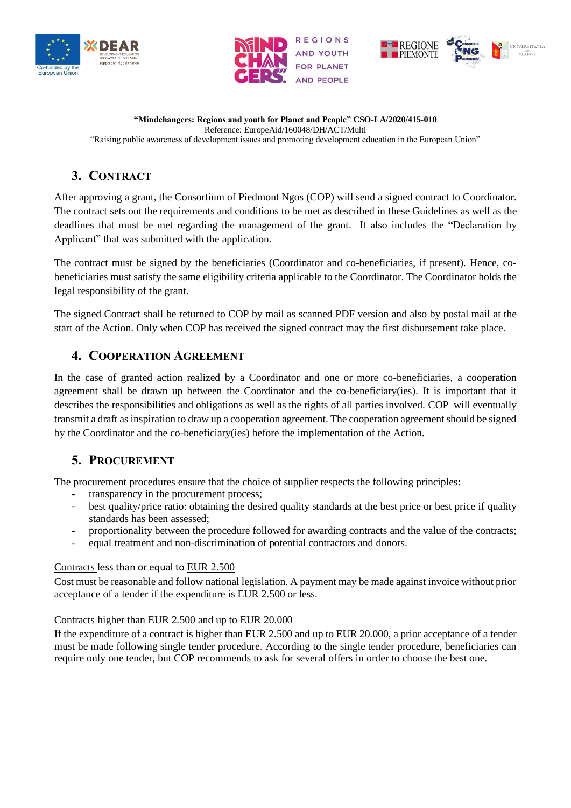





# **3. CONTRACT**

After approving a grant, the Consortium of Piedmont Ngos (COP) will send a signed contract to Coordinator. The contract sets out the requirements and conditions to be met as described in these Guidelines as well as the deadlines that must be met regarding the management of the grant. It also includes the "Declaration by Applicant" that was submitted with the application.

The contract must be signed by the beneficiaries (Coordinator and co-beneficiaries, if present). Hence, cobeneficiaries must satisfy the same eligibility criteria applicable to the Coordinator. The Coordinator holds the legal responsibility of the grant.

The signed Contract shall be returned to COP by mail as scanned PDF version and also by postal mail at the start of the Action. Only when COP has received the signed contract may the first disbursement take place.

# **4. COOPERATION AGREEMENT**

In the case of granted action realized by a Coordinator and one or more co-beneficiaries, a cooperation agreement shall be drawn up between the Coordinator and the co-beneficiary(ies). It is important that it describes the responsibilities and obligations as well as the rights of all parties involved. COP will eventually transmit a draft as inspiration to draw up a cooperation agreement. The cooperation agreement should be signed by the Coordinator and the co-beneficiary(ies) before the implementation of the Action.

# **5. PROCUREMENT**

The procurement procedures ensure that the choice of supplier respects the following principles:

- transparency in the procurement process;
- best quality/price ratio: obtaining the desired quality standards at the best price or best price if quality standards has been assessed;
- proportionality between the procedure followed for awarding contracts and the value of the contracts;
- equal treatment and non-discrimination of potential contractors and donors.

# Contracts less than or equal to EUR 2.500

Cost must be reasonable and follow national legislation. A payment may be made against invoice without prior acceptance of a tender if the expenditure is EUR 2.500 or less.

# Contracts higher than EUR 2.500 and up to EUR 20.000

If the expenditure of a contract is higher than EUR 2.500 and up to EUR 20.000, a prior acceptance of a tender must be made following single tender procedure. According to the single tender procedure, beneficiaries can require only one tender, but COP recommends to ask for several offers in order to choose the best one.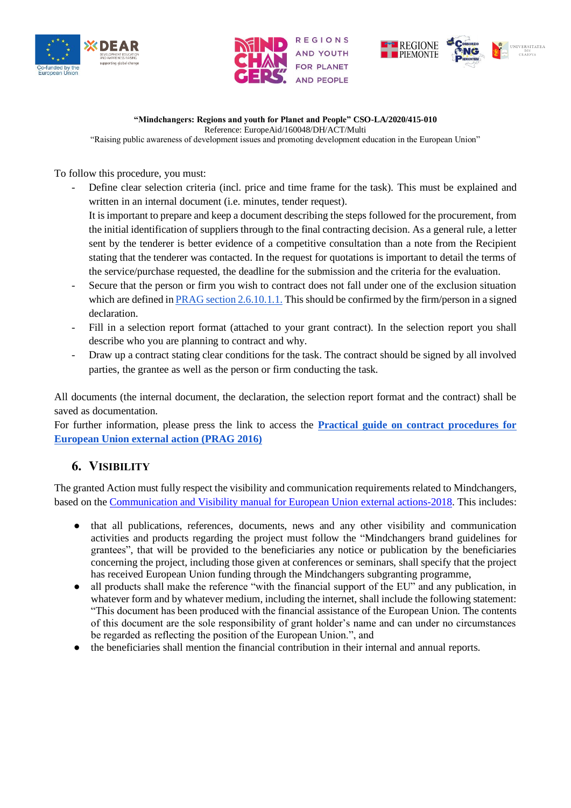





"Raising public awareness of development issues and promoting development education in the European Union"

To follow this procedure, you must:

- Define clear selection criteria (incl. price and time frame for the task). This must be explained and written in an internal document (i.e. minutes, tender request). It is important to prepare and keep a document describing the steps followed for the procurement, from the initial identification of suppliers through to the final contracting decision. As a general rule, a letter sent by the tenderer is better evidence of a competitive consultation than a note from the Recipient
	- stating that the tenderer was contacted. In the request for quotations is important to detail the terms of the service/purchase requested, the deadline for the submission and the criteria for the evaluation.
- Secure that the person or firm you wish to contract does not fall under one of the exclusion situation which are defi[n](http://ec.europa.eu/europeaid/prag/document.do?nodeNumber=2.6.10.1.1)ed in [PRAG section 2.6.10.1.1.](https://ec.europa.eu/europeaid/prag/document.do?nodeNumber=2.6.10.1) This should be confirmed by the firm/person in a signed declaration.
- Fill in a selection report format (attached to your grant contract). In the selection report you shall describe who you are planning to contract and why.
- Draw up a contract stating clear conditions for the task. The contract should be signed by all involved parties, the grantee as well as the person or firm conducting the task.

All documents (the internal document, the declaration, the selection report format and the contract) shall be saved as documentation.

For further information, please press the link to access the **[Practical guide on contract procedures for](https://wikis.ec.europa.eu/display/ExactExternalWiki/ePRAG)  [European Union external action \(PRAG 2016\)](https://wikis.ec.europa.eu/display/ExactExternalWiki/ePRAG)**

# **6. VISIBILITY**

The granted Action must fully respect the visibility and communication requirements related to Mindchangers, based on the [Communication and Visibility manual for European Union external actions-2018.](https://ec.europa.eu/international-partnerships/comm-visibility-requirements_en) This includes:

- that all publications, references, documents, news and any other visibility and communication activities and products regarding the project must follow the "Mindchangers brand guidelines for grantees", that will be provided to the beneficiaries any notice or publication by the beneficiaries concerning the project, including those given at conferences or seminars, shall specify that the project has received European Union funding through the Mindchangers subgranting programme,
- all products shall make the reference "with the financial support of the EU" and any publication, in whatever form and by whatever medium, including the internet, shall include the following statement: "This document has been produced with the financial assistance of the European Union. The contents of this document are the sole responsibility of grant holder's name and can under no circumstances be regarded as reflecting the position of the European Union.", and
- the beneficiaries shall mention the financial contribution in their internal and annual reports.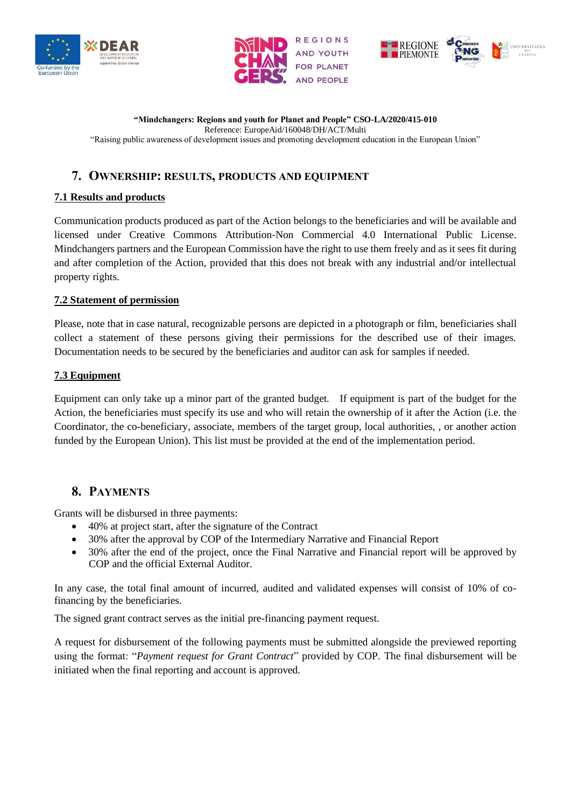





"Raising public awareness of development issues and promoting development education in the European Union"

# **7. OWNERSHIP: RESULTS, PRODUCTS AND EQUIPMENT**

# **7.1 Results and products**

Communication products produced as part of the Action belongs to the beneficiaries and will be available and licensed under Creative Commons Attribution-Non Commercial 4.0 International Public License. Mindchangers partners and the European Commission have the right to use them freely and as it sees fit during and after completion of the Action, provided that this does not break with any industrial and/or intellectual property rights.

# **7.2 Statement of permission**

Please, note that in case natural, recognizable persons are depicted in a photograph or film, beneficiaries shall collect a statement of these persons giving their permissions for the described use of their images. Documentation needs to be secured by the beneficiaries and auditor can ask for samples if needed.

### **7.3 Equipment**

Equipment can only take up a minor part of the granted budget. If equipment is part of the budget for the Action, the beneficiaries must specify its use and who will retain the ownership of it after the Action (i.e. the Coordinator, the co-beneficiary, associate, members of the target group, local authorities, , or another action funded by the European Union). This list must be provided at the end of the implementation period.

# **8. PAYMENTS**

Grants will be disbursed in three payments:

- 40% at project start, after the signature of the Contract
- 30% after the approval by COP of the Intermediary Narrative and Financial Report
- 30% after the end of the project, once the Final Narrative and Financial report will be approved by COP and the official External Auditor.

In any case, the total final amount of incurred, audited and validated expenses will consist of 10% of cofinancing by the beneficiaries.

The signed grant contract serves as the initial pre-financing payment request.

A request for disbursement of the following payments must be submitted alongside the previewed reporting using the format: "*Payment request for Grant Contract*" provided by COP. The final disbursement will be initiated when the final reporting and account is approved.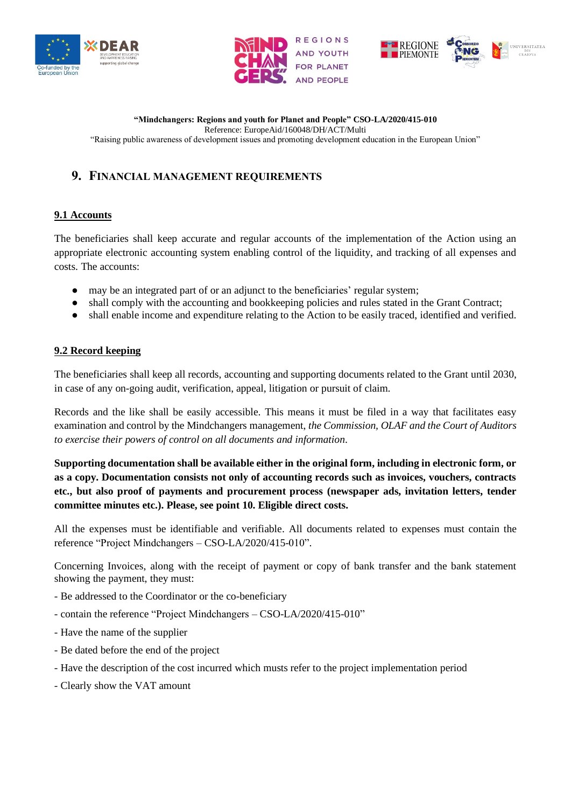





# **9. FINANCIAL MANAGEMENT REQUIREMENTS**

# **9.1 Accounts**

The beneficiaries shall keep accurate and regular accounts of the implementation of the Action using an appropriate electronic accounting system enabling control of the liquidity, and tracking of all expenses and costs. The accounts:

- may be an integrated part of or an adjunct to the beneficiaries' regular system;
- shall comply with the accounting and bookkeeping policies and rules stated in the Grant Contract;
- shall enable income and expenditure relating to the Action to be easily traced, identified and verified.

# **9.2 Record keeping**

The beneficiaries shall keep all records, accounting and supporting documents related to the Grant until 2030, in case of any on-going audit, verification, appeal, litigation or pursuit of claim.

Records and the like shall be easily accessible. This means it must be filed in a way that facilitates easy examination and control by the Mindchangers management, *the Commission, OLAF and the Court of Auditors to exercise their powers of control on all documents and information*.

**Supporting documentation shall be available either in the original form, including in electronic form, or as a copy. Documentation consists not only of accounting records such as invoices, vouchers, contracts etc., but also proof of payments and procurement process (newspaper ads, invitation letters, tender committee minutes etc.). Please, see point 10. Eligible direct costs.**

All the expenses must be identifiable and verifiable. All documents related to expenses must contain the reference "Project Mindchangers – CSO-LA/2020/415-010".

Concerning Invoices, along with the receipt of payment or copy of bank transfer and the bank statement showing the payment, they must:

- Be addressed to the Coordinator or the co-beneficiary
- contain the reference "Project Mindchangers CSO-LA/2020/415-010"
- Have the name of the supplier
- Be dated before the end of the project
- Have the description of the cost incurred which musts refer to the project implementation period
- Clearly show the VAT amount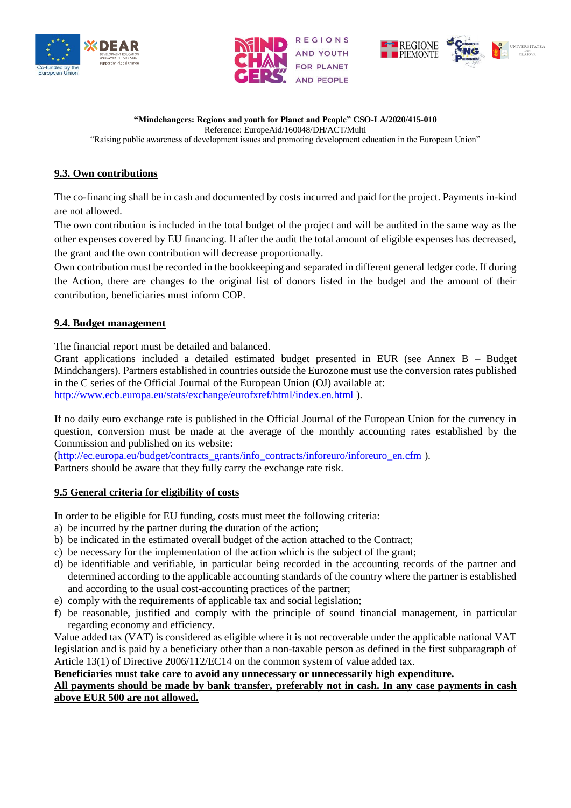





"Raising public awareness of development issues and promoting development education in the European Union"

# **9.3. Own contributions**

The co-financing shall be in cash and documented by costs incurred and paid for the project. Payments in-kind are not allowed.

The own contribution is included in the total budget of the project and will be audited in the same way as the other expenses covered by EU financing. If after the audit the total amount of eligible expenses has decreased, the grant and the own contribution will decrease proportionally.

Own contribution must be recorded in the bookkeeping and separated in different general ledger code. If during the Action, there are changes to the original list of donors listed in the budget and the amount of their contribution, beneficiaries must inform COP.

# **9.4. Budget management**

The financial report must be detailed and balanced.

Grant applications included a detailed estimated budget presented in EUR (see Annex B – Budget Mindchangers). Partners established in countries outside the Eurozone must use the conversion rates published in the C series of the Official Journal of the European Union (OJ) available at: <http://www.ecb.europa.eu/stats/exchange/eurofxref/html/index.en.html> ).

If no daily euro exchange rate is published in the Official Journal of the European Union for the currency in question, conversion must be made at the average of the monthly accounting rates established by the Commission and published on its website:

[\(http://ec.europa.eu/budget/contracts\\_grants/info\\_contracts/inforeuro/inforeuro\\_en.cfm](http://ec.europa.eu/budget/contracts_grants/info_contracts/inforeuro/inforeuro_en.cfm) ).

Partners should be aware that they fully carry the exchange rate risk.

# **9.5 General criteria for eligibility of costs**

In order to be eligible for EU funding, costs must meet the following criteria:

- a) be incurred by the partner during the duration of the action;
- b) be indicated in the estimated overall budget of the action attached to the Contract;
- c) be necessary for the implementation of the action which is the subject of the grant;
- d) be identifiable and verifiable, in particular being recorded in the accounting records of the partner and determined according to the applicable accounting standards of the country where the partner is established and according to the usual cost-accounting practices of the partner;
- e) comply with the requirements of applicable tax and social legislation;
- f) be reasonable, justified and comply with the principle of sound financial management, in particular regarding economy and efficiency.

Value added tax (VAT) is considered as eligible where it is not recoverable under the applicable national VAT legislation and is paid by a beneficiary other than a non-taxable person as defined in the first subparagraph of Article 13(1) of Directive 2006/112/EC14 on the common system of value added tax.

# **Beneficiaries must take care to avoid any unnecessary or unnecessarily high expenditure.**

### **All payments should be made by bank transfer, preferably not in cash. In any case payments in cash above EUR 500 are not allowed.**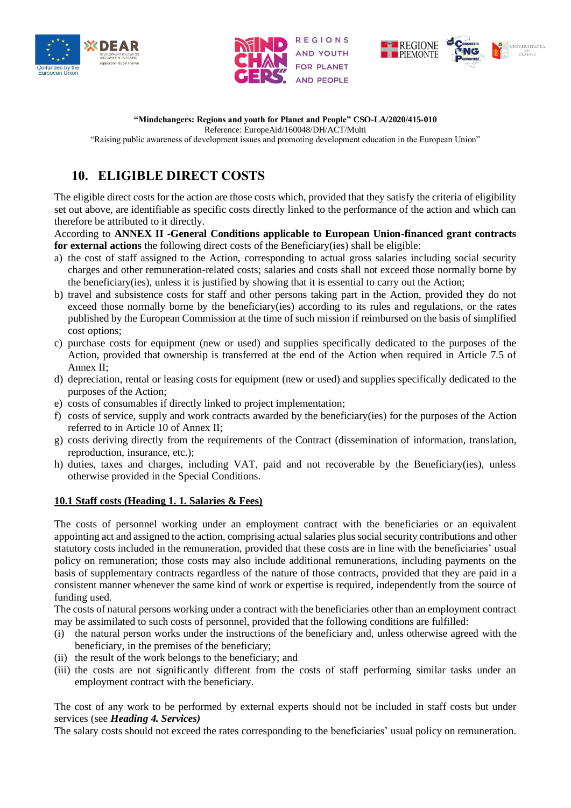





# **"Mindchangers: Regions and youth for Planet and People" CSO-LA/2020/415-010**

Reference: EuropeAid/160048/DH/ACT/Multi

"Raising public awareness of development issues and promoting development education in the European Union"

# **10. ELIGIBLE DIRECT COSTS**

The eligible direct costs for the action are those costs which, provided that they satisfy the criteria of eligibility set out above, are identifiable as specific costs directly linked to the performance of the action and which can therefore be attributed to it directly.

According to **ANNEX II -General Conditions applicable to European Union-financed grant contracts for external actions** the following direct costs of the Beneficiary(ies) shall be eligible:

- a) the cost of staff assigned to the Action, corresponding to actual gross salaries including social security charges and other remuneration-related costs; salaries and costs shall not exceed those normally borne by the beneficiary(ies), unless it is justified by showing that it is essential to carry out the Action;
- b) travel and subsistence costs for staff and other persons taking part in the Action, provided they do not exceed those normally borne by the beneficiary(ies) according to its rules and regulations, or the rates published by the European Commission at the time of such mission if reimbursed on the basis of simplified cost options;
- c) purchase costs for equipment (new or used) and supplies specifically dedicated to the purposes of the Action, provided that ownership is transferred at the end of the Action when required in Article 7.5 of Annex II;
- d) depreciation, rental or leasing costs for equipment (new or used) and supplies specifically dedicated to the purposes of the Action;
- e) costs of consumables if directly linked to project implementation;
- f) costs of service, supply and work contracts awarded by the beneficiary(ies) for the purposes of the Action referred to in Article 10 of Annex II;
- g) costs deriving directly from the requirements of the Contract (dissemination of information, translation, reproduction, insurance, etc.);
- h) duties, taxes and charges, including VAT, paid and not recoverable by the Beneficiary(ies), unless otherwise provided in the Special Conditions.

# **10.1 Staff costs (Heading 1. 1. Salaries & Fees)**

The costs of personnel working under an employment contract with the beneficiaries or an equivalent appointing act and assigned to the action, comprising actual salaries plus social security contributions and other statutory costs included in the remuneration, provided that these costs are in line with the beneficiaries' usual policy on remuneration; those costs may also include additional remunerations, including payments on the basis of supplementary contracts regardless of the nature of those contracts, provided that they are paid in a consistent manner whenever the same kind of work or expertise is required, independently from the source of funding used.

The costs of natural persons working under a contract with the beneficiaries other than an employment contract may be assimilated to such costs of personnel, provided that the following conditions are fulfilled:

- (i) the natural person works under the instructions of the beneficiary and, unless otherwise agreed with the beneficiary, in the premises of the beneficiary;
- (ii) the result of the work belongs to the beneficiary; and
- (iii) the costs are not significantly different from the costs of staff performing similar tasks under an employment contract with the beneficiary.

The cost of any work to be performed by external experts should not be included in staff costs but under services (see *Heading 4. Services)*

The salary costs should not exceed the rates corresponding to the beneficiaries' usual policy on remuneration.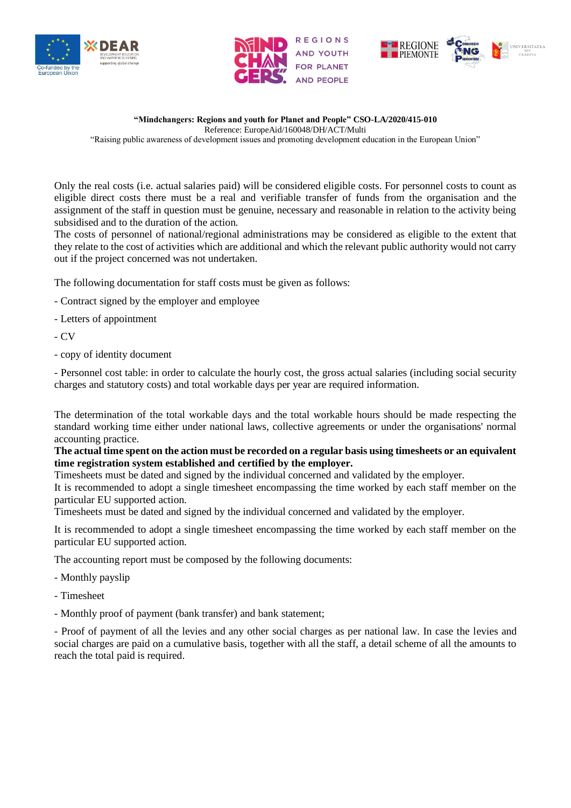





"Raising public awareness of development issues and promoting development education in the European Union"

Only the real costs (i.e. actual salaries paid) will be considered eligible costs. For personnel costs to count as eligible direct costs there must be a real and verifiable transfer of funds from the organisation and the assignment of the staff in question must be genuine, necessary and reasonable in relation to the activity being subsidised and to the duration of the action.

The costs of personnel of national/regional administrations may be considered as eligible to the extent that they relate to the cost of activities which are additional and which the relevant public authority would not carry out if the project concerned was not undertaken.

The following documentation for staff costs must be given as follows:

- Contract signed by the employer and employee
- Letters of appointment
- CV
- copy of identity document

- Personnel cost table: in order to calculate the hourly cost, the gross actual salaries (including social security charges and statutory costs) and total workable days per year are required information.

The determination of the total workable days and the total workable hours should be made respecting the standard working time either under national laws, collective agreements or under the organisations' normal accounting practice.

### **The actual time spent on the action must be recorded on a regular basis using timesheets or an equivalent time registration system established and certified by the employer.**

Timesheets must be dated and signed by the individual concerned and validated by the employer.

It is recommended to adopt a single timesheet encompassing the time worked by each staff member on the particular EU supported action.

Timesheets must be dated and signed by the individual concerned and validated by the employer.

It is recommended to adopt a single timesheet encompassing the time worked by each staff member on the particular EU supported action.

The accounting report must be composed by the following documents:

- Monthly payslip
- Timesheet
- Monthly proof of payment (bank transfer) and bank statement;

- Proof of payment of all the levies and any other social charges as per national law. In case the levies and social charges are paid on a cumulative basis, together with all the staff, a detail scheme of all the amounts to reach the total paid is required.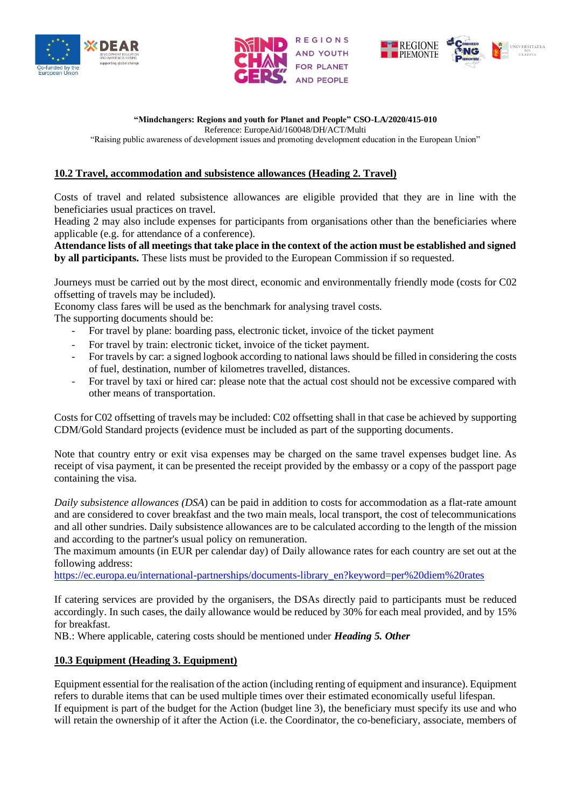





### **"Mindchangers: Regions and youth for Planet and People" CSO-LA/2020/415-010**

Reference: EuropeAid/160048/DH/ACT/Multi

"Raising public awareness of development issues and promoting development education in the European Union"

### **10.2 Travel, accommodation and subsistence allowances (Heading 2. Travel)**

Costs of travel and related subsistence allowances are eligible provided that they are in line with the beneficiaries usual practices on travel.

Heading 2 may also include expenses for participants from organisations other than the beneficiaries where applicable (e.g. for attendance of a conference).

**Attendance lists of all meetings that take place in the context of the action must be established and signed by all participants.** These lists must be provided to the European Commission if so requested.

Journeys must be carried out by the most direct, economic and environmentally friendly mode (costs for C02 offsetting of travels may be included).

Economy class fares will be used as the benchmark for analysing travel costs.

The supporting documents should be:

- For travel by plane: boarding pass, electronic ticket, invoice of the ticket payment
- For travel by train: electronic ticket, invoice of the ticket payment.
- For travels by car: a signed logbook according to national laws should be filled in considering the costs of fuel, destination, number of kilometres travelled, distances.
- For travel by taxi or hired car: please note that the actual cost should not be excessive compared with other means of transportation.

Costs for C02 offsetting of travels may be included: C02 offsetting shall in that case be achieved by supporting CDM/Gold Standard projects (evidence must be included as part of the supporting documents.

Note that country entry or exit visa expenses may be charged on the same travel expenses budget line. As receipt of visa payment, it can be presented the receipt provided by the embassy or a copy of the passport page containing the visa.

*Daily subsistence allowances (DSA*) can be paid in addition to costs for accommodation as a flat-rate amount and are considered to cover breakfast and the two main meals, local transport, the cost of telecommunications and all other sundries. Daily subsistence allowances are to be calculated according to the length of the mission and according to the partner's usual policy on remuneration.

The maximum amounts (in EUR per calendar day) of Daily allowance rates for each country are set out at the following address:

[https://ec.europa.eu/international-partnerships/documents-library\\_en?keyword=per%20diem%20rates](https://ec.europa.eu/international-partnerships/documents-library_en?keyword=per%20diem%20rates)

If catering services are provided by the organisers, the DSAs directly paid to participants must be reduced accordingly. In such cases, the daily allowance would be reduced by 30% for each meal provided, and by 15% for breakfast.

NB.: Where applicable, catering costs should be mentioned under *Heading 5. Other* 

### **10.3 Equipment (Heading 3. Equipment)**

Equipment essential for the realisation of the action (including renting of equipment and insurance). Equipment refers to durable items that can be used multiple times over their estimated economically useful lifespan. If equipment is part of the budget for the Action (budget line 3), the beneficiary must specify its use and who will retain the ownership of it after the Action (i.e. the Coordinator, the co-beneficiary, associate, members of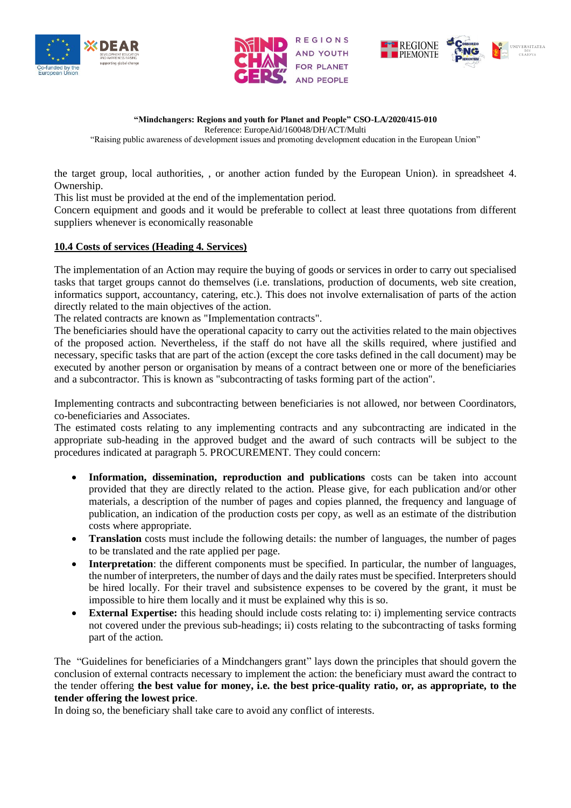





"Raising public awareness of development issues and promoting development education in the European Union"

the target group, local authorities, , or another action funded by the European Union). in spreadsheet 4. Ownership.

This list must be provided at the end of the implementation period.

Concern equipment and goods and it would be preferable to collect at least three quotations from different suppliers whenever is economically reasonable

### **10.4 Costs of services (Heading 4. Services)**

The implementation of an Action may require the buying of goods or services in order to carry out specialised tasks that target groups cannot do themselves (i.e. translations, production of documents, web site creation, informatics support, accountancy, catering, etc.). This does not involve externalisation of parts of the action directly related to the main objectives of the action.

The related contracts are known as "Implementation contracts".

The beneficiaries should have the operational capacity to carry out the activities related to the main objectives of the proposed action. Nevertheless, if the staff do not have all the skills required, where justified and necessary, specific tasks that are part of the action (except the core tasks defined in the call document) may be executed by another person or organisation by means of a contract between one or more of the beneficiaries and a subcontractor. This is known as "subcontracting of tasks forming part of the action".

Implementing contracts and subcontracting between beneficiaries is not allowed, nor between Coordinators, co-beneficiaries and Associates.

The estimated costs relating to any implementing contracts and any subcontracting are indicated in the appropriate sub-heading in the approved budget and the award of such contracts will be subject to the procedures indicated at paragraph 5. PROCUREMENT. They could concern:

- **Information, dissemination, reproduction and publications** costs can be taken into account provided that they are directly related to the action. Please give, for each publication and/or other materials, a description of the number of pages and copies planned, the frequency and language of publication, an indication of the production costs per copy, as well as an estimate of the distribution costs where appropriate.
- **Translation** costs must include the following details: the number of languages, the number of pages to be translated and the rate applied per page.
- **Interpretation**: the different components must be specified. In particular, the number of languages, the number of interpreters, the number of days and the daily rates must be specified. Interpreters should be hired locally. For their travel and subsistence expenses to be covered by the grant, it must be impossible to hire them locally and it must be explained why this is so.
- **External Expertise:** this heading should include costs relating to: i) implementing service contracts not covered under the previous sub-headings; ii) costs relating to the subcontracting of tasks forming part of the action.

The "Guidelines for beneficiaries of a Mindchangers grant" lays down the principles that should govern the conclusion of external contracts necessary to implement the action: the beneficiary must award the contract to the tender offering **the best value for money, i.e. the best price-quality ratio, or, as appropriate, to the tender offering the lowest price**.

In doing so, the beneficiary shall take care to avoid any conflict of interests.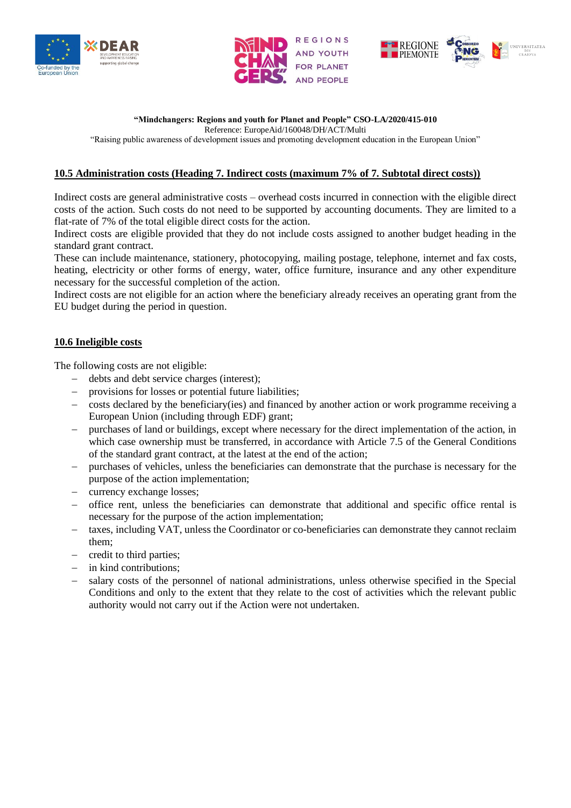





### **"Mindchangers: Regions and youth for Planet and People" CSO-LA/2020/415-010**

Reference: EuropeAid/160048/DH/ACT/Multi

"Raising public awareness of development issues and promoting development education in the European Union"

### **10.5 Administration costs (Heading 7. Indirect costs (maximum 7% of 7. Subtotal direct costs))**

Indirect costs are general administrative costs – overhead costs incurred in connection with the eligible direct costs of the action. Such costs do not need to be supported by accounting documents. They are limited to a flat-rate of 7% of the total eligible direct costs for the action.

Indirect costs are eligible provided that they do not include costs assigned to another budget heading in the standard grant contract.

These can include maintenance, stationery, photocopying, mailing postage, telephone, internet and fax costs, heating, electricity or other forms of energy, water, office furniture, insurance and any other expenditure necessary for the successful completion of the action.

Indirect costs are not eligible for an action where the beneficiary already receives an operating grant from the EU budget during the period in question.

### **10.6 Ineligible costs**

The following costs are not eligible:

- − debts and debt service charges (interest);
- − provisions for losses or potential future liabilities;
- − costs declared by the beneficiary(ies) and financed by another action or work programme receiving a European Union (including through EDF) grant;
- purchases of land or buildings, except where necessary for the direct implementation of the action, in which case ownership must be transferred, in accordance with Article 7.5 of the General Conditions of the standard grant contract, at the latest at the end of the action;
- − purchases of vehicles, unless the beneficiaries can demonstrate that the purchase is necessary for the purpose of the action implementation;
- currency exchange losses;
- − office rent, unless the beneficiaries can demonstrate that additional and specific office rental is necessary for the purpose of the action implementation;
- taxes, including VAT, unless the Coordinator or co-beneficiaries can demonstrate they cannot reclaim them;
- − credit to third parties;
- − in kind contributions;
- salary costs of the personnel of national administrations, unless otherwise specified in the Special Conditions and only to the extent that they relate to the cost of activities which the relevant public authority would not carry out if the Action were not undertaken.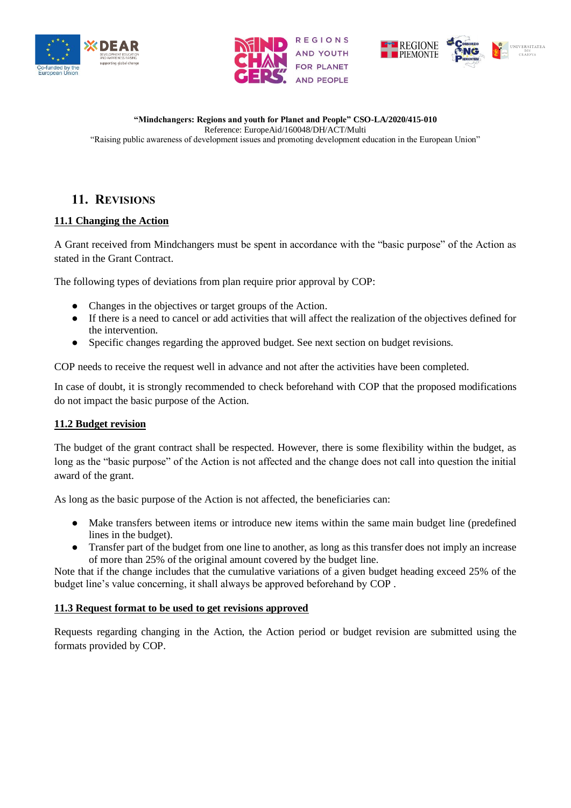





# **11. REVISIONS**

# **11.1 Changing the Action**

A Grant received from Mindchangers must be spent in accordance with the "basic purpose" of the Action as stated in the Grant Contract.

The following types of deviations from plan require prior approval by COP:

- Changes in the objectives or target groups of the Action.
- If there is a need to cancel or add activities that will affect the realization of the objectives defined for the intervention.
- Specific changes regarding the approved budget. See next section on budget revisions.

COP needs to receive the request well in advance and not after the activities have been completed.

In case of doubt, it is strongly recommended to check beforehand with COP that the proposed modifications do not impact the basic purpose of the Action.

# **11.2 Budget revision**

The budget of the grant contract shall be respected. However, there is some flexibility within the budget, as long as the "basic purpose" of the Action is not affected and the change does not call into question the initial award of the grant.

As long as the basic purpose of the Action is not affected, the beneficiaries can:

- Make transfers between items or introduce new items within the same main budget line (predefined lines in the budget).
- Transfer part of the budget from one line to another, as long as this transfer does not imply an increase of more than 25% of the original amount covered by the budget line.

Note that if the change includes that the cumulative variations of a given budget heading exceed 25% of the budget line's value concerning, it shall always be approved beforehand by COP .

# **11.3 Request format to be used to get revisions approved**

Requests regarding changing in the Action, the Action period or budget revision are submitted using the formats provided by COP.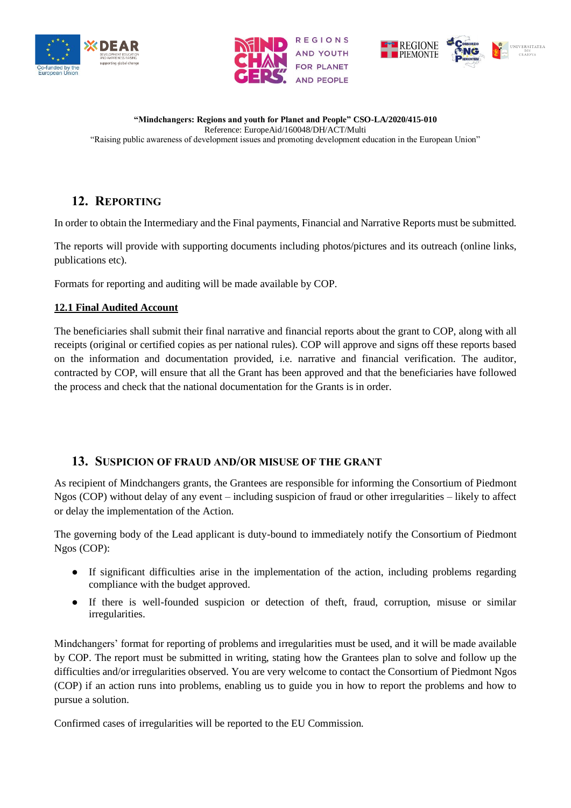





# **12. REPORTING**

In order to obtain the Intermediary and the Final payments, Financial and Narrative Reports must be submitted.

The reports will provide with supporting documents including photos/pictures and its outreach (online links, publications etc).

Formats for reporting and auditing will be made available by COP.

# **12.1 Final Audited Account**

The beneficiaries shall submit their final narrative and financial reports about the grant to COP, along with all receipts (original or certified copies as per national rules). COP will approve and signs off these reports based on the information and documentation provided, i.e. narrative and financial verification. The auditor, contracted by COP, will ensure that all the Grant has been approved and that the beneficiaries have followed the process and check that the national documentation for the Grants is in order.

# **13. SUSPICION OF FRAUD AND/OR MISUSE OF THE GRANT**

As recipient of Mindchangers grants, the Grantees are responsible for informing the Consortium of Piedmont Ngos (COP) without delay of any event – including suspicion of fraud or other irregularities – likely to affect or delay the implementation of the Action.

The governing body of the Lead applicant is duty-bound to immediately notify the Consortium of Piedmont Ngos (COP):

- If significant difficulties arise in the implementation of the action, including problems regarding compliance with the budget approved.
- If there is well-founded suspicion or detection of theft, fraud, corruption, misuse or similar irregularities.

Mindchangers' format for reporting of problems and irregularities must be used, and it will be made available by COP. The report must be submitted in writing, stating how the Grantees plan to solve and follow up the difficulties and/or irregularities observed. You are very welcome to contact the Consortium of Piedmont Ngos (COP) if an action runs into problems, enabling us to guide you in how to report the problems and how to pursue a solution.

Confirmed cases of irregularities will be reported to the EU Commission.